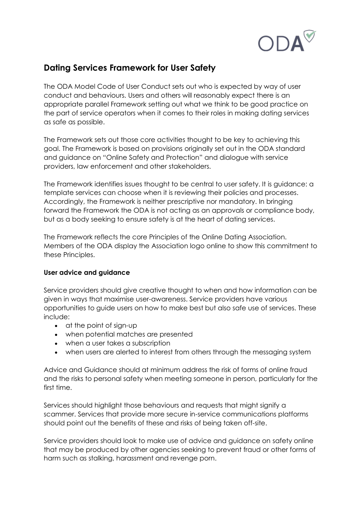

## **Dating Services Framework for User Safety**

The ODA Model Code of User Conduct sets out who is expected by way of user conduct and behaviours. Users and others will reasonably expect there is an appropriate parallel Framework setting out what we think to be good practice on the part of service operators when it comes to their roles in making dating services as safe as possible.

The Framework sets out those core activities thought to be key to achieving this goal. The Framework is based on provisions originally set out in the ODA standard and guidance on "Online Safety and Protection" and dialogue with service providers, law enforcement and other stakeholders.

The Framework identifies issues thought to be central to user safety. It is guidance: a template services can choose when it is reviewing their policies and processes. Accordingly, the Framework is neither prescriptive nor mandatory. In bringing forward the Framework the ODA is not acting as an approvals or compliance body, but as a body seeking to ensure safety is at the heart of dating services.

The Framework reflects the core Principles of the Online Dating Association. Members of the ODA display the Association logo online to show this commitment to these Principles.

## **User advice and guidance**

Service providers should give creative thought to when and how information can be given in ways that maximise user-awareness. Service providers have various opportunities to guide users on how to make best but also safe use of services. These include:

- at the point of sign-up
- when potential matches are presented
- when a user takes a subscription
- when users are alerted to interest from others through the messaging system

Advice and Guidance should at minimum address the risk of forms of online fraud and the risks to personal safety when meeting someone in person, particularly for the first time.

Services should highlight those behaviours and requests that might signify a scammer. Services that provide more secure in-service communications platforms should point out the benefits of these and risks of being taken off-site.

Service providers should look to make use of advice and guidance on safety online that may be produced by other agencies seeking to prevent fraud or other forms of harm such as stalking, harassment and revenge porn.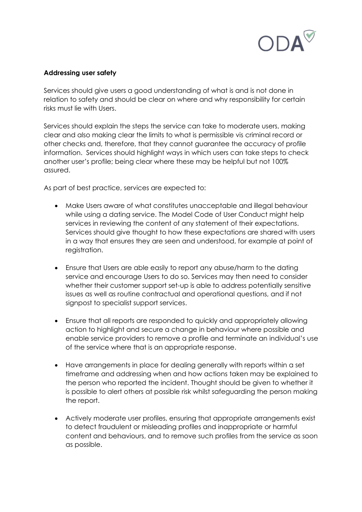

## **Addressing user safety**

Services should give users a good understanding of what is and is not done in relation to safety and should be clear on where and why responsibility for certain risks must lie with Users.

Services should explain the steps the service can take to moderate users, making clear and also making clear the limits to what is permissible vis criminal record or other checks and, therefore, that they cannot guarantee the accuracy of profile information. Services should highlight ways in which users can take steps to check another user's profile; being clear where these may be helpful but not 100% assured.

As part of best practice, services are expected to:

- Make Users aware of what constitutes unacceptable and illegal behaviour while using a dating service. The Model Code of User Conduct might help services in reviewing the content of any statement of their expectations. Services should give thought to how these expectations are shared with users in a way that ensures they are seen and understood, for example at point of registration.
- Ensure that Users are able easily to report any abuse/harm to the dating service and encourage Users to do so. Services may then need to consider whether their customer support set-up is able to address potentially sensitive issues as well as routine contractual and operational questions, and if not signpost to specialist support services.
- Ensure that all reports are responded to quickly and appropriately allowing action to highlight and secure a change in behaviour where possible and enable service providers to remove a profile and terminate an individual's use of the service where that is an appropriate response.
- Have arrangements in place for dealing generally with reports within a set timeframe and addressing when and how actions taken may be explained to the person who reported the incident. Thought should be given to whether it is possible to alert others at possible risk whilst safeguarding the person making the report.
- Actively moderate user profiles, ensuring that appropriate arrangements exist to detect fraudulent or misleading profiles and inappropriate or harmful content and behaviours, and to remove such profiles from the service as soon as possible.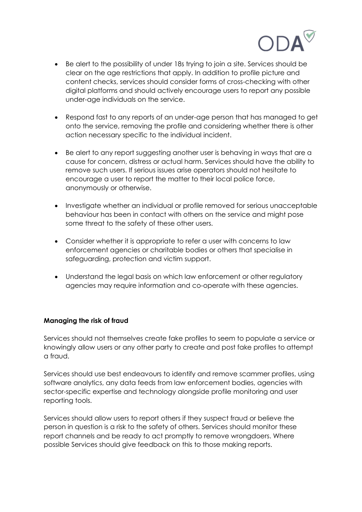

- Be alert to the possibility of under 18s trying to join a site. Services should be clear on the age restrictions that apply. In addition to profile picture and content checks, services should consider forms of cross-checking with other digital platforms and should actively encourage users to report any possible under-age individuals on the service.
- Respond fast to any reports of an under-age person that has managed to get onto the service, removing the profile and considering whether there is other action necessary specific to the individual incident.
- Be alert to any report suggesting another user is behaving in ways that are a cause for concern, distress or actual harm. Services should have the ability to remove such users. If serious issues arise operators should not hesitate to encourage a user to report the matter to their local police force, anonymously or otherwise.
- Investigate whether an individual or profile removed for serious unacceptable behaviour has been in contact with others on the service and might pose some threat to the safety of these other users.
- Consider whether it is appropriate to refer a user with concerns to law enforcement agencies or charitable bodies or others that specialise in safeguarding, protection and victim support.
- Understand the legal basis on which law enforcement or other regulatory agencies may require information and co-operate with these agencies.

## **Managing the risk of fraud**

Services should not themselves create fake profiles to seem to populate a service or knowingly allow users or any other party to create and post fake profiles to attempt a fraud.

Services should use best endeavours to identify and remove scammer profiles, using software analytics, any data feeds from law enforcement bodies, agencies with sector-specific expertise and technology alongside profile monitoring and user reporting tools.

Services should allow users to report others if they suspect fraud or believe the person in question is a risk to the safety of others. Services should monitor these report channels and be ready to act promptly to remove wrongdoers. Where possible Services should give feedback on this to those making reports.